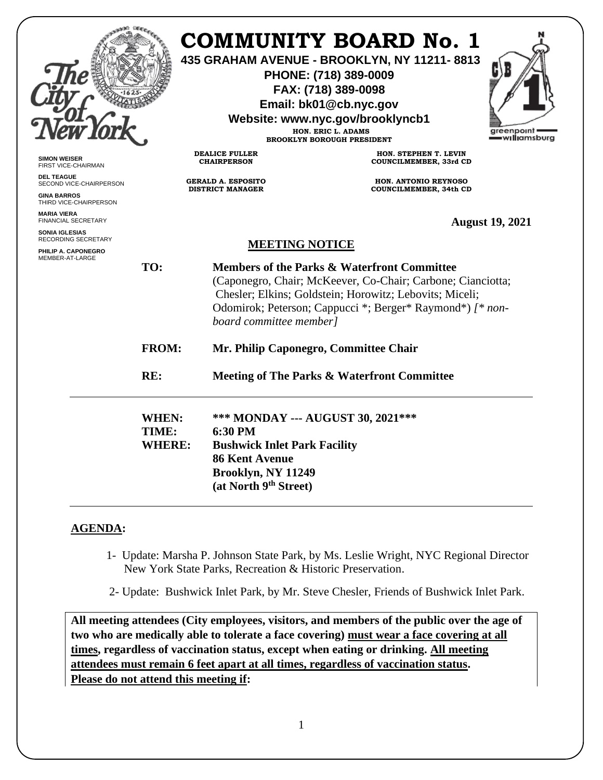|                                                                                                                                            |                                 |                                                                                                                                                                                                                                                                                                                                                                                                                     | <b>COMMUNITY BOARD No. 1</b><br>435 GRAHAM AVENUE - BROOKLYN, NY 11211-8813<br>PHONE: (718) 389-0009<br>FAX: (718) 389-0098<br>Email: bk01@cb.nyc.gov<br>Website: www.nyc.gov/brooklyncb1<br>HON. ERIC L. ADAMS<br><b>BROOKLYN BOROUGH PRESIDENT</b> | greenpoint<br>=w <b>ıllı</b> amsburg |
|--------------------------------------------------------------------------------------------------------------------------------------------|---------------------------------|---------------------------------------------------------------------------------------------------------------------------------------------------------------------------------------------------------------------------------------------------------------------------------------------------------------------------------------------------------------------------------------------------------------------|------------------------------------------------------------------------------------------------------------------------------------------------------------------------------------------------------------------------------------------------------|--------------------------------------|
| <b>SIMON WEISER</b><br>FIRST VICE-CHAIRMAN                                                                                                 |                                 | <b>DEALICE FULLER</b><br><b>CHAIRPERSON</b>                                                                                                                                                                                                                                                                                                                                                                         | HON. STEPHEN T. LEVIN<br>COUNCILMEMBER, 33rd CD                                                                                                                                                                                                      |                                      |
| <b>DEL TEAGUE</b><br>SECOND VICE-CHAIRPERSON<br><b>GINA BARROS</b><br>THIRD VICE-CHAIRPERSON                                               |                                 | <b>GERALD A. ESPOSITO</b><br><b>DISTRICT MANAGER</b>                                                                                                                                                                                                                                                                                                                                                                | HON. ANTONIO REYNOSO<br>COUNCILMEMBER, 34th CD                                                                                                                                                                                                       |                                      |
| <b>MARIA VIERA</b><br>FINANCIAL SECRETARY<br><b>SONIA IGLESIAS</b><br><b>RECORDING SECRETARY</b><br>PHILIP A. CAPONEGRO<br>MEMBER-AT-LARGE | TO:<br><b>FROM:</b><br>RE:      | <b>August 19, 2021</b><br><b>MEETING NOTICE</b><br><b>Members of the Parks &amp; Waterfront Committee</b><br>(Caponegro, Chair; McKeever, Co-Chair; Carbone; Cianciotta;<br>Chesler; Elkins; Goldstein; Horowitz; Lebovits; Miceli;<br>Odomirok; Peterson; Cappucci *; Berger* Raymond*) [* non-<br>board committee member]<br>Mr. Philip Caponegro, Committee Chair<br>Meeting of The Parks & Waterfront Committee |                                                                                                                                                                                                                                                      |                                      |
|                                                                                                                                            | WHEN:<br>TIME:<br><b>WHERE:</b> | 6:30 PM<br><b>Bushwick Inlet Park Facility</b><br><b>86 Kent Avenue</b><br>Brooklyn, NY 11249<br>(at North 9th Street)                                                                                                                                                                                                                                                                                              | *** MONDAY --- AUGUST 30, 2021 ***                                                                                                                                                                                                                   |                                      |

## **AGENDA:**

- 1- Update: Marsha P. Johnson State Park, by Ms. Leslie Wright, NYC Regional Director New York State Parks, Recreation & Historic Preservation.
- 2- Update: Bushwick Inlet Park, by Mr. Steve Chesler, Friends of Bushwick Inlet Park.

**All meeting attendees (City employees, visitors, and members of the public over the age of two who are medically able to tolerate a face covering) must wear a face covering at all times, regardless of vaccination status, except when eating or drinking. All meeting attendees must remain 6 feet apart at all times, regardless of vaccination status. Please do not attend this meeting if:**